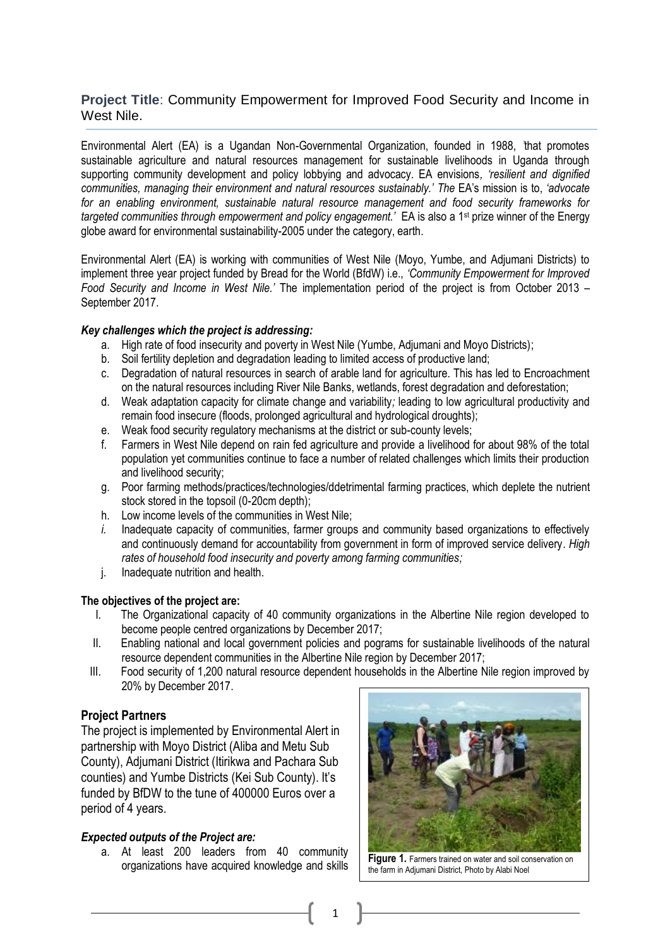# **Project Title**: Community Empowerment for Improved Food Security and Income in West Nile.

Environmental Alert (EA) is a Ugandan Non-Governmental Organization, founded in 1988, *'*that promotes sustainable agriculture and natural resources management for sustainable livelihoods in Uganda through supporting community development and policy lobbying and advocacy. EA envisions*, 'resilient and dignified communities, managing their environment and natural resources sustainably.' The* EA's mission is to, *'advocate for an enabling environment, sustainable natural resource management and food security frameworks for targeted communities through empowerment and policy engagement.'* EA is also a 1st prize winner of the Energy globe award for environmental sustainability-2005 under the category, earth.

Environmental Alert (EA) is working with communities of West Nile (Moyo, Yumbe, and Adjumani Districts) to implement three year project funded by Bread for the World (BfdW) i.e., *'Community Empowerment for Improved Food Security and Income in West Nile.'* The implementation period of the project is from October 2013 – September 2017.

### *Key challenges which the project is addressing:*

- a. High rate of food insecurity and poverty in West Nile (Yumbe, Adjumani and Moyo Districts);
- b. Soil fertility depletion and degradation leading to limited access of productive land;
- c. Degradation of natural resources in search of arable land for agriculture. This has led to Encroachment on the natural resources including River Nile Banks, wetlands, forest degradation and deforestation;
- d. Weak adaptation capacity for climate change and variability*;* leading to low agricultural productivity and remain food insecure (floods, prolonged agricultural and hydrological droughts);
- e. Weak food security regulatory mechanisms at the district or sub-county levels;
- f. Farmers in West Nile depend on rain fed agriculture and provide a livelihood for about 98% of the total population yet communities continue to face a number of related challenges which limits their production and livelihood security;
- g. Poor farming methods/practices/technologies/ddetrimental farming practices, which deplete the nutrient stock stored in the topsoil (0-20cm depth);
- h. Low income levels of the communities in West Nile;
- *i.* Inadequate capacity of communities, farmer groups and community based organizations to effectively and continuously demand for accountability from government in form of improved service delivery. *High rates of household food insecurity and poverty among farming communities;*
- j. Inadequate nutrition and health.

# **The objectives of the project are:**

- I. The Organizational capacity of 40 community organizations in the Albertine Nile region developed to become people centred organizations by December 2017;
- II. Enabling national and local government policies and pograms for sustainable livelihoods of the natural resource dependent communities in the Albertine Nile region by December 2017;
- III. Food security of 1,200 natural resource dependent households in the Albertine Nile region improved by 20% by December 2017.

# **Project Partners**

The project is implemented by Environmental Alert in partnership with Moyo District (Aliba and Metu Sub County), Adjumani District (Itirikwa and Pachara Sub counties) and Yumbe Districts (Kei Sub County). It's funded by BfDW to the tune of 400000 Euros over a period of 4 years.

# *Expected outputs of the Project are:*

a. At least 200 leaders from 40 community organizations have acquired knowledge and skills



**Figure 1.** Farmers trained on water and soil conservation on the farm in Adjumani District, Photo by Alabi Noel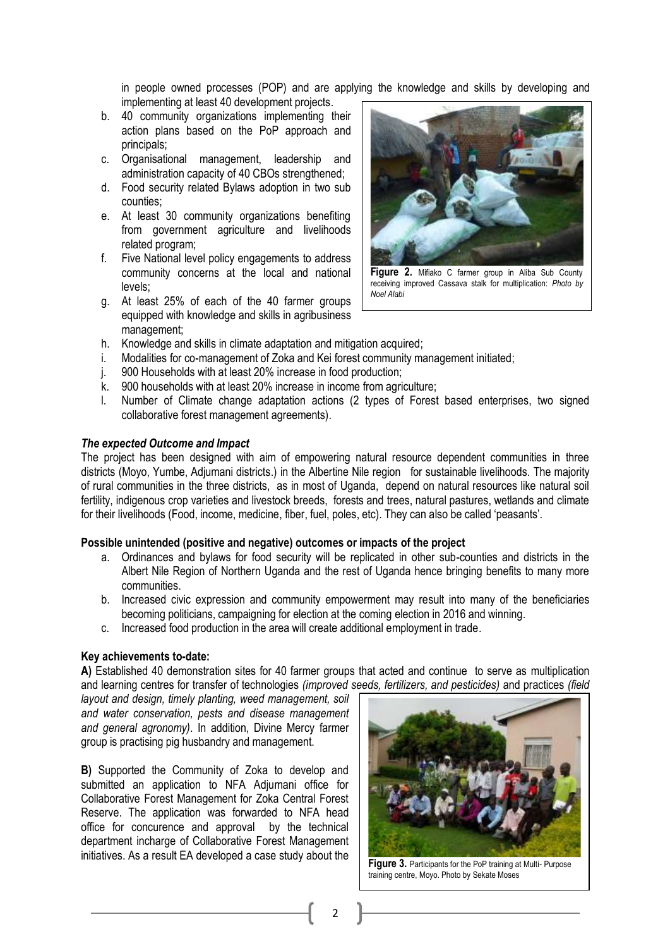in people owned processes (POP) and are applying the knowledge and skills by developing and implementing at least 40 development projects.

- b. 40 community organizations implementing their action plans based on the PoP approach and principals;
- c. Organisational management, leadership and administration capacity of 40 CBOs strengthened;
- d. Food security related Bylaws adoption in two sub counties;
- e. At least 30 community organizations benefiting from government agriculture and livelihoods related program;
- f. Five National level policy engagements to address community concerns at the local and national levels;
- g. At least 25% of each of the 40 farmer groups equipped with knowledge and skills in agribusiness management;



**Figure 2.** Mifiako C farmer group in Aliba Sub County receiving improved Cassava stalk for multiplication: *Photo by Noel Alabi*

- h. Knowledge and skills in climate adaptation and mitigation acquired;
- i. Modalities for co-management of Zoka and Kei forest community management initiated;
- j. 900 Households with at least 20% increase in food production;
- k. 900 households with at least 20% increase in income from agriculture;
- l. Number of Climate change adaptation actions (2 types of Forest based enterprises, two signed collaborative forest management agreements).

#### *The expected Outcome and Impact*

The project has been designed with aim of empowering natural resource dependent communities in three districts (Moyo, Yumbe, Adjumani districts.) in the Albertine Nile region for sustainable livelihoods. The majority of rural communities in the three districts, as in most of Uganda, depend on natural resources like natural soil fertility, indigenous crop varieties and livestock breeds, forests and trees, natural pastures, wetlands and climate for their livelihoods (Food, income, medicine, fiber, fuel, poles, etc). They can also be called 'peasants'.

#### **Possible unintended (positive and negative) outcomes or impacts of the project**

- a. Ordinances and bylaws for food security will be replicated in other sub-counties and districts in the Albert Nile Region of Northern Uganda and the rest of Uganda hence bringing benefits to many more communities.
- b. Increased civic expression and community empowerment may result into many of the beneficiaries becoming politicians, campaigning for election at the coming election in 2016 and winning.
- c. Increased food production in the area will create additional employment in trade.

#### **Key achievements to-date:**

**A)** Established 40 demonstration sites for 40 farmer groups that acted and continue to serve as multiplication and learning centres for transfer of technologies *(improved seeds, fertilizers, and pesticides)* and practices *(field* 

*layout and design, timely planting, weed management, soil and water conservation, pests and disease management and general agronomy)*. In addition, Divine Mercy farmer group is practising pig husbandry and management.

**B)** Supported the Community of Zoka to develop and submitted an application to NFA Adjumani office for Collaborative Forest Management for Zoka Central Forest Reserve. The application was forwarded to NFA head office for concurence and approval by the technical department incharge of Collaborative Forest Management initiatives. As a result EA developed a case study about the



**Figure 3.** Participants for the PoP training at Multi- Purpose training centre, Moyo. Photo by Sekate Moses